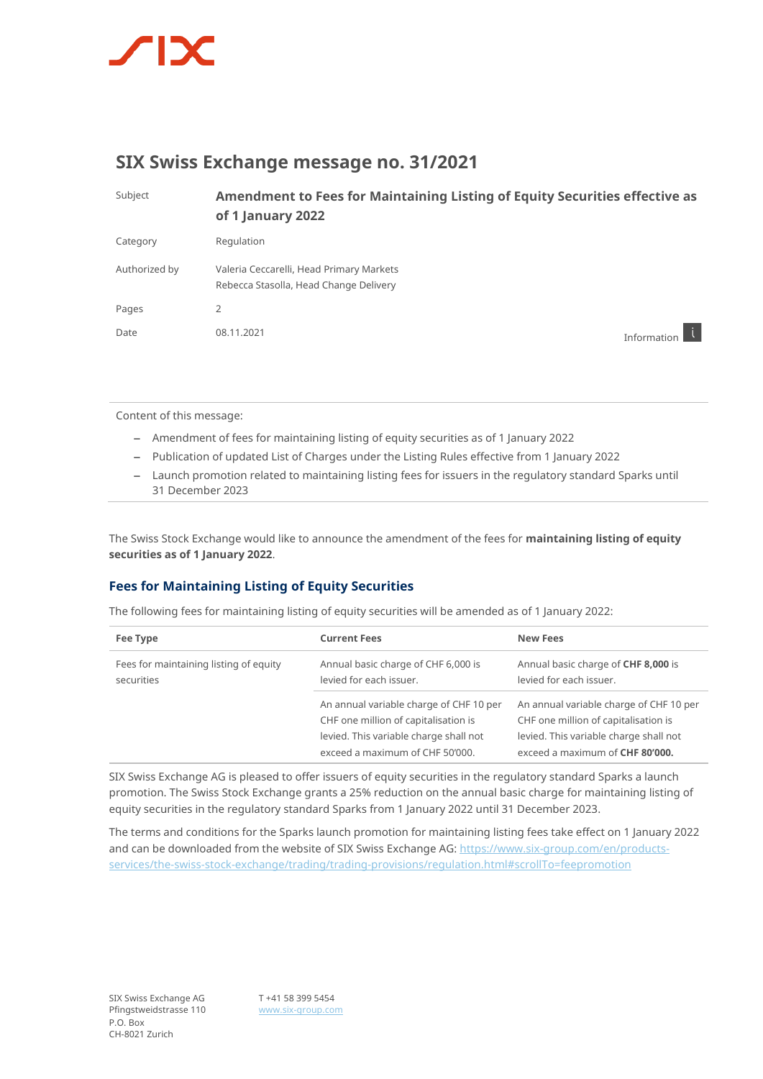

## **SIX Swiss Exchange message no. 31/2021**

| Subject       | Amendment to Fees for Maintaining Listing of Equity Securities effective as<br>of 1 January 2022 |             |
|---------------|--------------------------------------------------------------------------------------------------|-------------|
| Category      | Regulation                                                                                       |             |
| Authorized by | Valeria Ceccarelli, Head Primary Markets<br>Rebecca Stasolla, Head Change Delivery               |             |
| Pages         | 2                                                                                                |             |
| Date          | 08.11.2021                                                                                       | Information |

Content of this message:

- Amendment of fees for maintaining listing of equity securities as of 1 January 2022
- Publication of updated List of Charges under the Listing Rules effective from 1 January 2022
- Launch promotion related to maintaining listing fees for issuers in the regulatory standard Sparks until 31 December 2023

The Swiss Stock Exchange would like to announce the amendment of the fees for **maintaining listing of equity securities as of 1 January 2022**.

## **Fees for Maintaining Listing of Equity Securities**

The following fees for maintaining listing of equity securities will be amended as of 1 January 2022:

| Fee Type                                             | <b>Current Fees</b>                                                                                                                                          | <b>New Fees</b>                                                                                                                                              |
|------------------------------------------------------|--------------------------------------------------------------------------------------------------------------------------------------------------------------|--------------------------------------------------------------------------------------------------------------------------------------------------------------|
| Fees for maintaining listing of equity<br>securities | Annual basic charge of CHF 6,000 is<br>levied for each issuer.                                                                                               | Annual basic charge of CHF 8,000 is<br>levied for each issuer.                                                                                               |
|                                                      | An annual variable charge of CHF 10 per<br>CHF one million of capitalisation is<br>levied. This variable charge shall not<br>exceed a maximum of CHF 50'000. | An annual variable charge of CHF 10 per<br>CHF one million of capitalisation is<br>levied. This variable charge shall not<br>exceed a maximum of CHF 80'000. |

SIX Swiss Exchange AG is pleased to offer issuers of equity securities in the regulatory standard Sparks a launch promotion. The Swiss Stock Exchange grants a 25% reduction on the annual basic charge for maintaining listing of equity securities in the regulatory standard Sparks from 1 January 2022 until 31 December 2023.

The terms and conditions for the Sparks launch promotion for maintaining listing fees take effect on 1 January 2022 and can be downloaded from the website of SIX Swiss Exchange AG: [https://www.six-group.com/en/products](https://www.six-group.com/en/products-services/the-swiss-stock-exchange/trading/trading-provisions/regulation.html#scrollTo=feepromotion)[services/the-swiss-stock-exchange/trading/trading-provisions/regulation.html#scrollTo=feepromotion](https://www.six-group.com/en/products-services/the-swiss-stock-exchange/trading/trading-provisions/regulation.html#scrollTo=feepromotion)

T +41 58 399 5454 [www.six-group.com](http://www.six-group.com/)